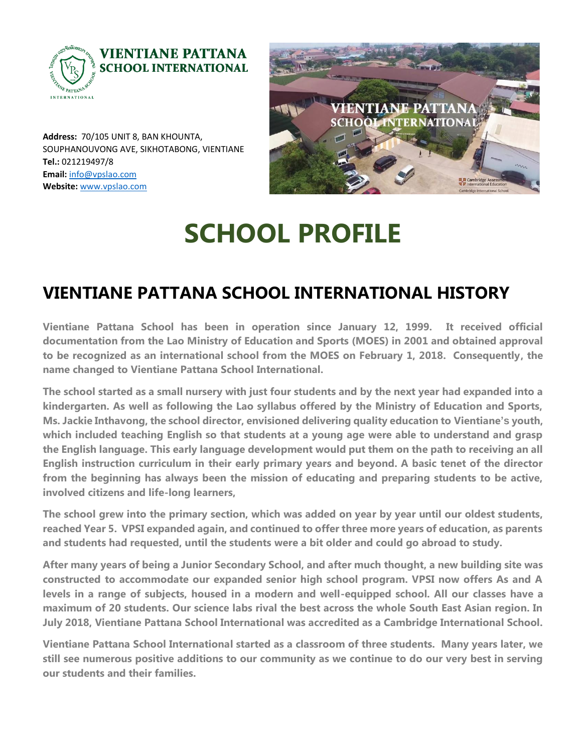

VIENTIANE PATTA **INTERNATIONA** 

**Address:** 70/105 UNIT 8, BAN KHOUNTA, SOUPHANOUVONG AVE, SIKHOTABONG, VIENTIANE **Tel.:** 021219497/8 **Email:** [info@vpslao.com](mailto:info@vpslao.com) **Website:** [www.vpslao.com](http://www.vpslao.com/)

# **SCHOOL PROFILE**

### **VIENTIANE PATTANA SCHOOL INTERNATIONAL HISTORY**

**Vientiane Pattana School has been in operation since January 12, 1999. It received official documentation from the Lao Ministry of Education and Sports (MOES) in 2001 and obtained approval to be recognized as an international school from the MOES on February 1, 2018. Consequently, the name changed to Vientiane Pattana School International.**

**The school started as a small nursery with just four students and by the next year had expanded into a kindergarten. As well as following the Lao syllabus offered by the Ministry of Education and Sports, Ms. Jackie Inthavong, the school director, envisioned delivering quality education to Vientiane's youth, which included teaching English so that students at a young age were able to understand and grasp the English language. This early language development would put them on the path to receiving an all English instruction curriculum in their early primary years and beyond. A basic tenet of the director from the beginning has always been the mission of educating and preparing students to be active, involved citizens and life-long learners,**

**The school grew into the primary section, which was added on year by year until our oldest students, reached Year 5. VPSI expanded again, and continued to offer three more years of education, as parents and students had requested, until the students were a bit older and could go abroad to study.**

**After many years of being a Junior Secondary School, and after much thought, a new building site was constructed to accommodate our expanded senior high school program. VPSI now offers As and A levels in a range of subjects, housed in a modern and well-equipped school. All our classes have a maximum of 20 students. Our science labs rival the best across the whole South East Asian region. In July 2018, Vientiane Pattana School International was accredited as a Cambridge International School.** 

**Vientiane Pattana School International started as a classroom of three students. Many years later, we still see numerous positive additions to our community as we continue to do our very best in serving our students and their families.**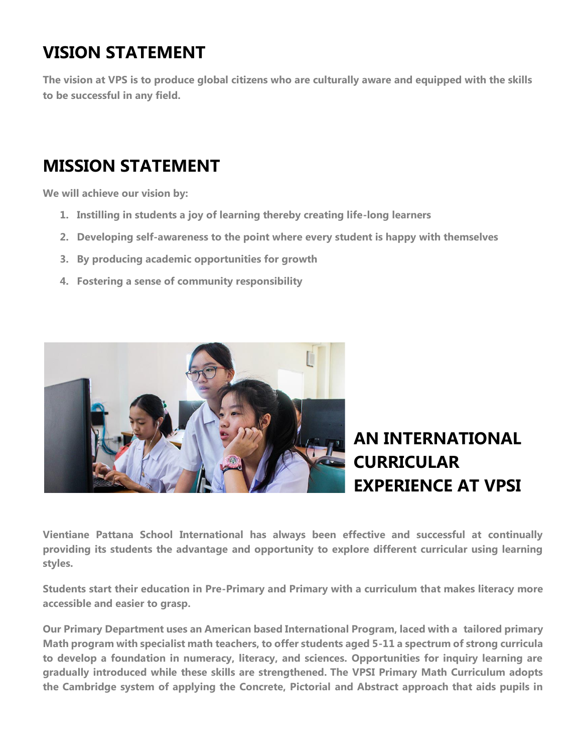# **VISION STATEMENT**

**The vision at VPS is to produce global citizens who are culturally aware and equipped with the skills to be successful in any field.**

### **MISSION STATEMENT**

**We will achieve our vision by:**

- **1. Instilling in students a joy of learning thereby creating life-long learners**
- **2. Developing self-awareness to the point where every student is happy with themselves**
- **3. By producing academic opportunities for growth**
- **4. Fostering a sense of community responsibility**



## **AN INTERNATIONAL CURRICULAR EXPERIENCE AT VPSI**

**Vientiane Pattana School International has always been effective and successful at continually providing its students the advantage and opportunity to explore different curricular using learning styles.**

**Students start their education in Pre-Primary and Primary with a curriculum that makes literacy more accessible and easier to grasp.**

**Our Primary Department uses an American based International Program, laced with a tailored primary Math program with specialist math teachers, to offer students aged 5-11 a spectrum of strong curricula to develop a foundation in numeracy, literacy, and sciences. Opportunities for inquiry learning are gradually introduced while these skills are strengthened. The VPSI Primary Math Curriculum adopts the Cambridge system of applying the Concrete, Pictorial and Abstract approach that aids pupils in**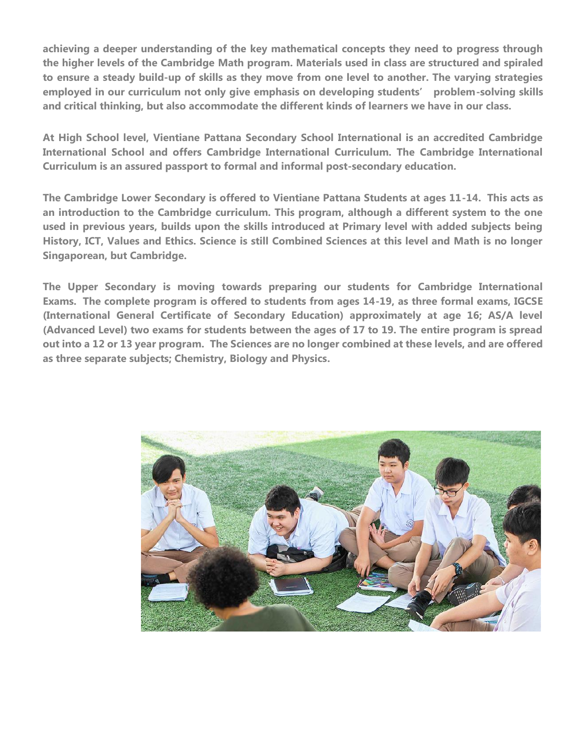**achieving a deeper understanding of the key mathematical concepts they need to progress through the higher levels of the Cambridge Math program. Materials used in class are structured and spiraled to ensure a steady build-up of skills as they move from one level to another. The varying strategies employed in our curriculum not only give emphasis on developing students' problem-solving skills and critical thinking, but also accommodate the different kinds of learners we have in our class.**

**At High School level, Vientiane Pattana Secondary School International is an accredited Cambridge International School and offers Cambridge International Curriculum. The Cambridge International Curriculum is an assured passport to formal and informal post-secondary education.**

**The Cambridge Lower Secondary is offered to Vientiane Pattana Students at ages 11-14. This acts as an introduction to the Cambridge curriculum. This program, although a different system to the one used in previous years, builds upon the skills introduced at Primary level with added subjects being History, ICT, Values and Ethics. Science is still Combined Sciences at this level and Math is no longer Singaporean, but Cambridge.**

**The Upper Secondary is moving towards preparing our students for Cambridge International Exams. The complete program is offered to students from ages 14-19, as three formal exams, IGCSE (International General Certificate of Secondary Education) approximately at age 16; AS/A level (Advanced Level) two exams for students between the ages of 17 to 19. The entire program is spread out into a 12 or 13 year program. The Sciences are no longer combined at these levels, and are offered as three separate subjects; Chemistry, Biology and Physics.**

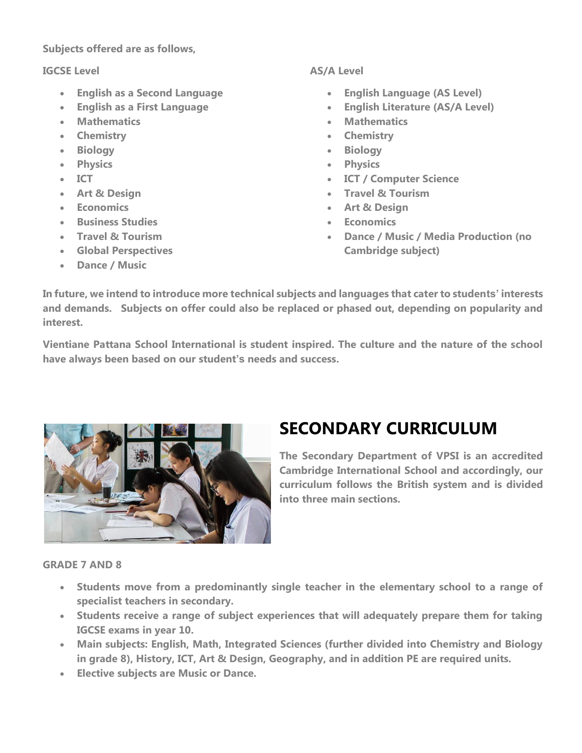#### **Subjects offered are as follows,**

#### **IGCSE Level**

- **English as a Second Language**
- **English as a First Language**
- **Mathematics**
- **Chemistry**
- **Biology**
- **Physics**
- **ICT**
- **Art & Design**
- **Economics**
- **Business Studies**
- **Travel & Tourism**
- **Global Perspectives**
- **Dance / Music**

#### **AS/A Level**

- **English Language (AS Level)**
- **English Literature (AS/A Level)**
- **Mathematics**
- **Chemistry**
- **Biology**
- **Physics**
- **ICT / Computer Science**
- **Travel & Tourism**
- **Art & Design**
- **Economics**
- **Dance / Music / Media Production (no Cambridge subject)**

**In future, we intend to introduce more technical subjects and languages that cater to students' interests and demands. Subjects on offer could also be replaced or phased out, depending on popularity and interest.**

**Vientiane Pattana School International is student inspired. The culture and the nature of the school have always been based on our student's needs and success.**



### **SECONDARY CURRICULUM**

**The Secondary Department of VPSI is an accredited Cambridge International School and accordingly, our curriculum follows the British system and is divided into three main sections.**

#### **GRADE 7 AND 8**

- **Students move from a predominantly single teacher in the elementary school to a range of specialist teachers in secondary.**
- **Students receive a range of subject experiences that will adequately prepare them for taking IGCSE exams in year 10.**
- **Main subjects: English, Math, Integrated Sciences (further divided into Chemistry and Biology in grade 8), History, ICT, Art & Design, Geography, and in addition PE are required units.**
- **Elective subjects are Music or Dance.**